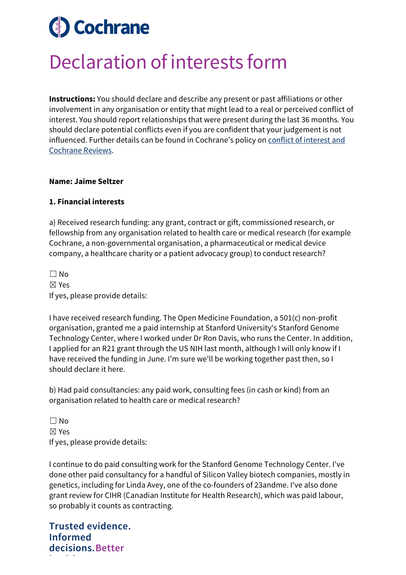# **O** Cochrane

# Declaration of interests form

**Instructions:** You should declare and describe any present or past affiliations or other involvement in any organisation or entity that might lead to a real or perceived conflict of interest. You should report relationships that were present during the last 36 months. You should declare potential conflicts even if you are confident that your judgement is not influenced. Further details can be found in Cochrane's policy on [conflict of interest and](https://documentation.cochrane.org/display/EPPR/Policy%3A%2Bconflicts%2Bof%2Binterest%2Band%2BCochrane%2BReviews) [Cochrane](https://documentation.cochrane.org/display/EPPR/Policy%3A%2Bconflicts%2Bof%2Binterest%2Band%2BCochrane%2BReviews) Reviews.

#### **Name: Jaime Seltzer**

### **1. Financial interests**

a) Received research funding: any grant, contract or gift, commissioned research, or fellowship from any organisation related to health care or medical research (for example Cochrane, a non-governmental organisation, a pharmaceutical or medical device company, a healthcare charity or a patient advocacy group) to conduct research?

 $\Box$  No ☒ Yes If yes, please provide details:

I have received research funding. The Open Medicine Foundation, a 501(c) non-profit organisation, granted me a paid internship at Stanford University's Stanford Genome Technology Center, where I worked under Dr Ron Davis, who runs the Center. In addition, I applied for an R21 grant through the US NIH last month, although I will only know if I have received the funding in June. I'm sure we'll be working together past then, so I should declare it here.

b) Had paid consultancies: any paid work, consulting fees (in cash or kind) from an organisation related to health care or medical research?

 $\Box$  No ☒ Yes If yes, please provide details:

I continue to do paid consulting work for the Stanford Genome Technology Center. I've done other paid consultancy for a handful of Silicon Valley biotech companies, mostly in genetics, including for Linda Avey, one of the co-founders of 23andme. I've also done grant review for CIHR (Canadian Institute for Health Research), which was paid labour, so probably it counts as contracting.

**Trusted evidence. Informed decisions.Better** 

**h lh**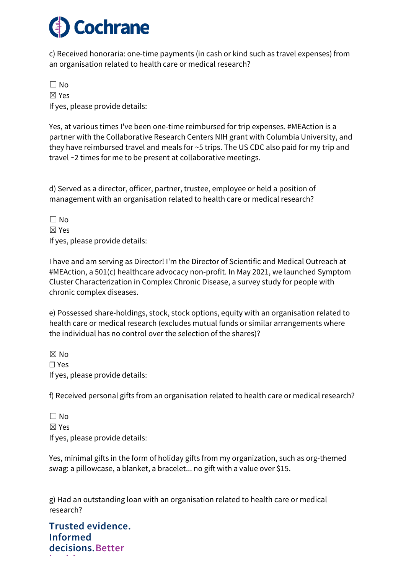

c) Received honoraria: one-time payments (in cash or kind such as travel expenses) from an organisation related to health care or medical research?

 $\Box$  No ☒ Yes If yes, please provide details:

Yes, at various times I've been one-time reimbursed for trip expenses. #MEAction is a partner with the Collaborative Research Centers NIH grant with Columbia University, and they have reimbursed travel and meals for ~5 trips. The US CDC also paid for my trip and travel ~2 times for me to be present at collaborative meetings.

d) Served as a director, officer, partner, trustee, employee or held a position of management with an organisation related to health care or medical research?

 $\Box$  No ☒ Yes If yes, please provide details:

I have and am serving as Director! I'm the Director of Scientific and Medical Outreach at #MEAction, a 501(c) healthcare advocacy non-profit. In May 2021, we launched Symptom Cluster Characterization in Complex Chronic Disease, a survey study for people with chronic complex diseases.

e) Possessed share-holdings, stock, stock options, equity with an organisation related to health care or medical research (excludes mutual funds or similar arrangements where the individual has no control over the selection of the shares)?

☒ No ☐ Yes If yes, please provide details:

f) Received personal gifts from an organisation related to health care or medical research?

 $\Box$  No ☒ Yes If yes, please provide details:

Yes, minimal gifts in the form of holiday gifts from my organization, such as org-themed swag: a pillowcase, a blanket, a bracelet... no gift with a value over \$15.

g) Had an outstanding loan with an organisation related to health care or medical research?

**Trusted evidence. Informed decisions.Better** 

**h lh**